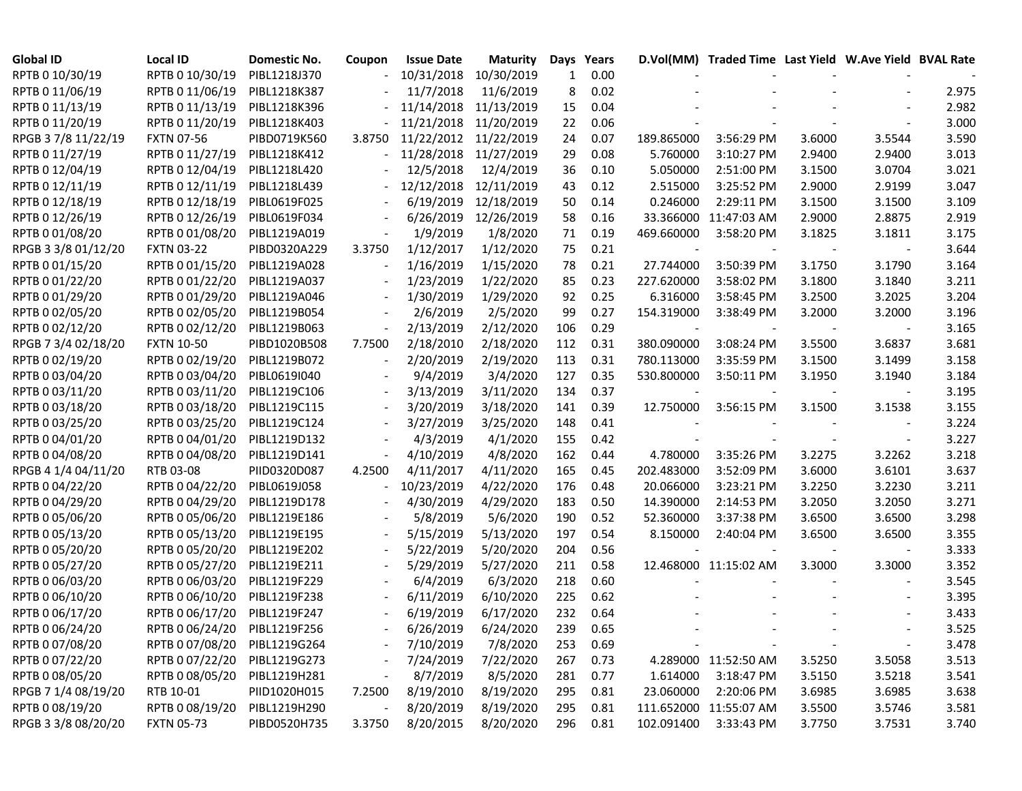| <b>Global ID</b>    | <b>Local ID</b>   | Domestic No. | Coupon | <b>Issue Date</b> | <b>Maturity</b> | Days | Years |            | D.Vol(MM) Traded Time Last Yield W.Ave Yield BVAL Rate |        |        |       |
|---------------------|-------------------|--------------|--------|-------------------|-----------------|------|-------|------------|--------------------------------------------------------|--------|--------|-------|
| RPTB 0 10/30/19     | RPTB 0 10/30/19   | PIBL1218J370 |        | 10/31/2018        | 10/30/2019      | 1    | 0.00  |            |                                                        |        |        |       |
| RPTB 0 11/06/19     | RPTB 0 11/06/19   | PIBL1218K387 |        | 11/7/2018         | 11/6/2019       | 8    | 0.02  |            |                                                        |        |        | 2.975 |
| RPTB 0 11/13/19     | RPTB 0 11/13/19   | PIBL1218K396 |        | 11/14/2018        | 11/13/2019      | 15   | 0.04  |            |                                                        |        |        | 2.982 |
| RPTB 0 11/20/19     | RPTB 0 11/20/19   | PIBL1218K403 |        | 11/21/2018        | 11/20/2019      | 22   | 0.06  |            |                                                        |        |        | 3.000 |
| RPGB 37/8 11/22/19  | <b>FXTN 07-56</b> | PIBD0719K560 | 3.8750 | 11/22/2012        | 11/22/2019      | 24   | 0.07  | 189.865000 | 3:56:29 PM                                             | 3.6000 | 3.5544 | 3.590 |
| RPTB 0 11/27/19     | RPTB 0 11/27/19   | PIBL1218K412 |        | 11/28/2018        | 11/27/2019      | 29   | 0.08  | 5.760000   | 3:10:27 PM                                             | 2.9400 | 2.9400 | 3.013 |
| RPTB 0 12/04/19     | RPTB 0 12/04/19   | PIBL1218L420 |        | 12/5/2018         | 12/4/2019       | 36   | 0.10  | 5.050000   | 2:51:00 PM                                             | 3.1500 | 3.0704 | 3.021 |
| RPTB 0 12/11/19     | RPTB 0 12/11/19   | PIBL1218L439 |        | 12/12/2018        | 12/11/2019      | 43   | 0.12  | 2.515000   | 3:25:52 PM                                             | 2.9000 | 2.9199 | 3.047 |
| RPTB 0 12/18/19     | RPTB 0 12/18/19   | PIBL0619F025 |        | 6/19/2019         | 12/18/2019      | 50   | 0.14  | 0.246000   | 2:29:11 PM                                             | 3.1500 | 3.1500 | 3.109 |
| RPTB 0 12/26/19     | RPTB 0 12/26/19   | PIBL0619F034 |        | 6/26/2019         | 12/26/2019      | 58   | 0.16  |            | 33.366000 11:47:03 AM                                  | 2.9000 | 2.8875 | 2.919 |
| RPTB 0 01/08/20     | RPTB 0 01/08/20   | PIBL1219A019 |        | 1/9/2019          | 1/8/2020        | 71   | 0.19  | 469.660000 | 3:58:20 PM                                             | 3.1825 | 3.1811 | 3.175 |
| RPGB 3 3/8 01/12/20 | <b>FXTN 03-22</b> | PIBD0320A229 | 3.3750 | 1/12/2017         | 1/12/2020       | 75   | 0.21  |            |                                                        |        |        | 3.644 |
| RPTB 0 01/15/20     | RPTB 0 01/15/20   | PIBL1219A028 |        | 1/16/2019         | 1/15/2020       | 78   | 0.21  | 27.744000  | 3:50:39 PM                                             | 3.1750 | 3.1790 | 3.164 |
| RPTB 0 01/22/20     | RPTB 0 01/22/20   | PIBL1219A037 |        | 1/23/2019         | 1/22/2020       | 85   | 0.23  | 227.620000 | 3:58:02 PM                                             | 3.1800 | 3.1840 | 3.211 |
| RPTB 0 01/29/20     | RPTB 0 01/29/20   | PIBL1219A046 |        | 1/30/2019         | 1/29/2020       | 92   | 0.25  | 6.316000   | 3:58:45 PM                                             | 3.2500 | 3.2025 | 3.204 |
| RPTB 0 02/05/20     | RPTB 0 02/05/20   | PIBL1219B054 |        | 2/6/2019          | 2/5/2020        | 99   | 0.27  | 154.319000 | 3:38:49 PM                                             | 3.2000 | 3.2000 | 3.196 |
| RPTB 0 02/12/20     | RPTB 0 02/12/20   | PIBL1219B063 |        | 2/13/2019         | 2/12/2020       | 106  | 0.29  |            |                                                        |        |        | 3.165 |
| RPGB 7 3/4 02/18/20 | <b>FXTN 10-50</b> | PIBD1020B508 | 7.7500 | 2/18/2010         | 2/18/2020       | 112  | 0.31  | 380.090000 | 3:08:24 PM                                             | 3.5500 | 3.6837 | 3.681 |
| RPTB 0 02/19/20     | RPTB 0 02/19/20   | PIBL1219B072 |        | 2/20/2019         | 2/19/2020       | 113  | 0.31  | 780.113000 | 3:35:59 PM                                             | 3.1500 | 3.1499 | 3.158 |
| RPTB 0 03/04/20     | RPTB 0 03/04/20   | PIBL0619I040 |        | 9/4/2019          | 3/4/2020        | 127  | 0.35  | 530.800000 | 3:50:11 PM                                             | 3.1950 | 3.1940 | 3.184 |
| RPTB 0 03/11/20     | RPTB 0 03/11/20   | PIBL1219C106 |        | 3/13/2019         | 3/11/2020       | 134  | 0.37  |            |                                                        |        |        | 3.195 |
| RPTB 0 03/18/20     | RPTB 0 03/18/20   | PIBL1219C115 |        | 3/20/2019         | 3/18/2020       | 141  | 0.39  | 12.750000  | 3:56:15 PM                                             | 3.1500 | 3.1538 | 3.155 |
| RPTB 0 03/25/20     | RPTB 0 03/25/20   | PIBL1219C124 |        | 3/27/2019         | 3/25/2020       | 148  | 0.41  |            |                                                        |        |        | 3.224 |
| RPTB 0 04/01/20     | RPTB 0 04/01/20   | PIBL1219D132 |        | 4/3/2019          | 4/1/2020        | 155  | 0.42  |            |                                                        |        |        | 3.227 |
| RPTB 0 04/08/20     | RPTB 0 04/08/20   | PIBL1219D141 |        | 4/10/2019         | 4/8/2020        | 162  | 0.44  | 4.780000   | 3:35:26 PM                                             | 3.2275 | 3.2262 | 3.218 |
| RPGB 4 1/4 04/11/20 | RTB 03-08         | PIID0320D087 | 4.2500 | 4/11/2017         | 4/11/2020       | 165  | 0.45  | 202.483000 | 3:52:09 PM                                             | 3.6000 | 3.6101 | 3.637 |
| RPTB 0 04/22/20     | RPTB 0 04/22/20   | PIBL0619J058 |        | 10/23/2019        | 4/22/2020       | 176  | 0.48  | 20.066000  | 3:23:21 PM                                             | 3.2250 | 3.2230 | 3.211 |
| RPTB 0 04/29/20     | RPTB 0 04/29/20   | PIBL1219D178 |        | 4/30/2019         | 4/29/2020       | 183  | 0.50  | 14.390000  | 2:14:53 PM                                             | 3.2050 | 3.2050 | 3.271 |
| RPTB 0 05/06/20     | RPTB 0 05/06/20   | PIBL1219E186 |        | 5/8/2019          | 5/6/2020        | 190  | 0.52  | 52.360000  | 3:37:38 PM                                             | 3.6500 | 3.6500 | 3.298 |
| RPTB 0 05/13/20     | RPTB 0 05/13/20   | PIBL1219E195 |        | 5/15/2019         | 5/13/2020       | 197  | 0.54  | 8.150000   | 2:40:04 PM                                             | 3.6500 | 3.6500 | 3.355 |
| RPTB 0 05/20/20     | RPTB 0 05/20/20   | PIBL1219E202 |        | 5/22/2019         | 5/20/2020       | 204  | 0.56  |            |                                                        |        |        | 3.333 |
| RPTB 0 05/27/20     | RPTB 0 05/27/20   | PIBL1219E211 |        | 5/29/2019         | 5/27/2020       | 211  | 0.58  |            | 12.468000 11:15:02 AM                                  | 3.3000 | 3.3000 | 3.352 |
| RPTB 0 06/03/20     | RPTB 0 06/03/20   | PIBL1219F229 |        | 6/4/2019          | 6/3/2020        | 218  | 0.60  |            |                                                        |        |        | 3.545 |
| RPTB 0 06/10/20     | RPTB 0 06/10/20   | PIBL1219F238 |        | 6/11/2019         | 6/10/2020       | 225  | 0.62  |            |                                                        |        |        | 3.395 |
| RPTB 0 06/17/20     | RPTB 0 06/17/20   | PIBL1219F247 |        | 6/19/2019         | 6/17/2020       | 232  | 0.64  |            |                                                        |        |        | 3.433 |
| RPTB 0 06/24/20     | RPTB 0 06/24/20   | PIBL1219F256 |        | 6/26/2019         | 6/24/2020       | 239  | 0.65  |            |                                                        |        |        | 3.525 |
| RPTB 0 07/08/20     | RPTB 0 07/08/20   | PIBL1219G264 |        | 7/10/2019         | 7/8/2020        | 253  | 0.69  |            |                                                        |        |        | 3.478 |
| RPTB 0 07/22/20     | RPTB 0 07/22/20   | PIBL1219G273 |        | 7/24/2019         | 7/22/2020       | 267  | 0.73  |            | 4.289000 11:52:50 AM                                   | 3.5250 | 3.5058 | 3.513 |
| RPTB 0 08/05/20     | RPTB 0 08/05/20   | PIBL1219H281 |        | 8/7/2019          | 8/5/2020        | 281  | 0.77  | 1.614000   | 3:18:47 PM                                             | 3.5150 | 3.5218 | 3.541 |
| RPGB 7 1/4 08/19/20 | RTB 10-01         | PIID1020H015 | 7.2500 | 8/19/2010         | 8/19/2020       | 295  | 0.81  | 23.060000  | 2:20:06 PM                                             | 3.6985 | 3.6985 | 3.638 |
| RPTB 0 08/19/20     | RPTB 0 08/19/20   | PIBL1219H290 |        | 8/20/2019         | 8/19/2020       | 295  | 0.81  |            | 111.652000 11:55:07 AM                                 | 3.5500 | 3.5746 | 3.581 |
| RPGB 3 3/8 08/20/20 | <b>FXTN 05-73</b> | PIBD0520H735 | 3.3750 | 8/20/2015         | 8/20/2020       | 296  | 0.81  | 102.091400 | 3:33:43 PM                                             | 3.7750 | 3.7531 | 3.740 |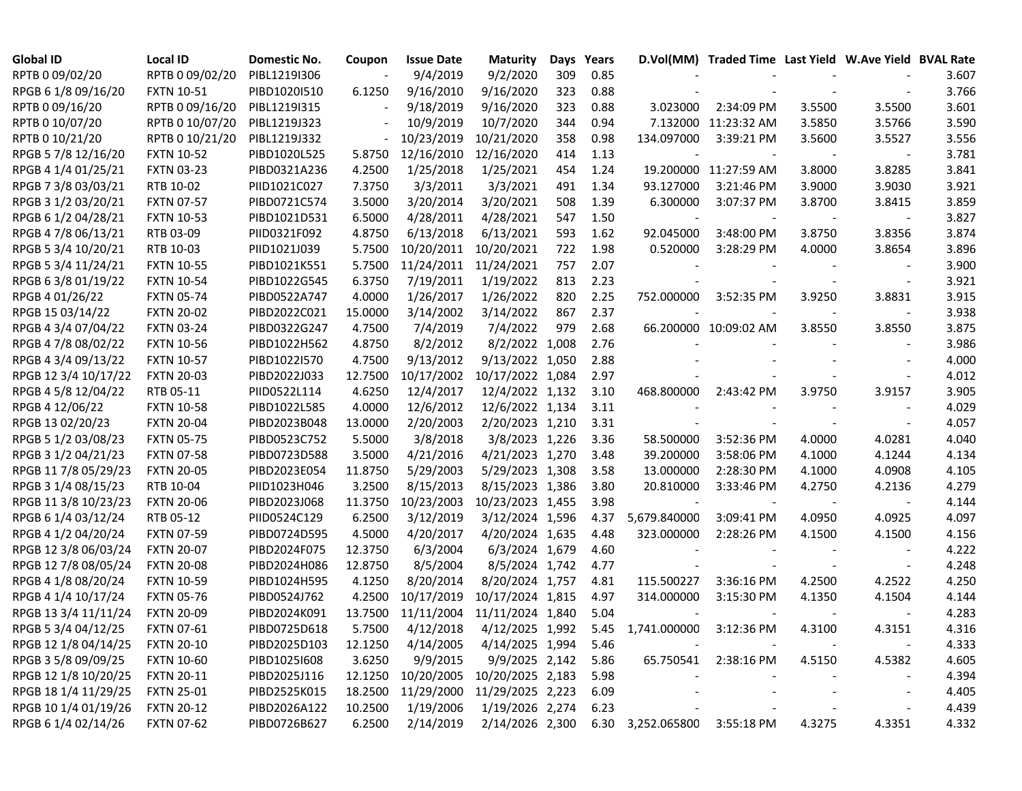| <b>Global ID</b>     | <b>Local ID</b>   | Domestic No. | Coupon  | <b>Issue Date</b>  | <b>Maturity</b>  | Days | Years |                   | D.Vol(MM) Traded Time Last Yield W.Ave Yield BVAL Rate |        |                          |       |
|----------------------|-------------------|--------------|---------|--------------------|------------------|------|-------|-------------------|--------------------------------------------------------|--------|--------------------------|-------|
| RPTB 0 09/02/20      | RPTB 0 09/02/20   | PIBL1219I306 |         | 9/4/2019           | 9/2/2020         | 309  | 0.85  |                   |                                                        |        |                          | 3.607 |
| RPGB 6 1/8 09/16/20  | <b>FXTN 10-51</b> | PIBD1020I510 | 6.1250  | 9/16/2010          | 9/16/2020        | 323  | 0.88  |                   |                                                        |        |                          | 3.766 |
| RPTB 0 09/16/20      | RPTB 0 09/16/20   | PIBL1219I315 |         | 9/18/2019          | 9/16/2020        | 323  | 0.88  | 3.023000          | 2:34:09 PM                                             | 3.5500 | 3.5500                   | 3.601 |
| RPTB 0 10/07/20      | RPTB 0 10/07/20   | PIBL1219J323 |         | 10/9/2019          | 10/7/2020        | 344  | 0.94  |                   | 7.132000 11:23:32 AM                                   | 3.5850 | 3.5766                   | 3.590 |
| RPTB 0 10/21/20      | RPTB 0 10/21/20   | PIBL1219J332 |         | 10/23/2019         | 10/21/2020       | 358  | 0.98  | 134.097000        | 3:39:21 PM                                             | 3.5600 | 3.5527                   | 3.556 |
| RPGB 5 7/8 12/16/20  | <b>FXTN 10-52</b> | PIBD1020L525 | 5.8750  | 12/16/2010         | 12/16/2020       | 414  | 1.13  |                   |                                                        |        |                          | 3.781 |
| RPGB 4 1/4 01/25/21  | <b>FXTN 03-23</b> | PIBD0321A236 | 4.2500  | 1/25/2018          | 1/25/2021        | 454  | 1.24  |                   | 19.200000 11:27:59 AM                                  | 3.8000 | 3.8285                   | 3.841 |
| RPGB 7 3/8 03/03/21  | RTB 10-02         | PIID1021C027 | 7.3750  | 3/3/2011           | 3/3/2021         | 491  | 1.34  | 93.127000         | 3:21:46 PM                                             | 3.9000 | 3.9030                   | 3.921 |
| RPGB 3 1/2 03/20/21  | <b>FXTN 07-57</b> | PIBD0721C574 | 3.5000  | 3/20/2014          | 3/20/2021        | 508  | 1.39  | 6.300000          | 3:07:37 PM                                             | 3.8700 | 3.8415                   | 3.859 |
| RPGB 6 1/2 04/28/21  | <b>FXTN 10-53</b> | PIBD1021D531 | 6.5000  | 4/28/2011          | 4/28/2021        | 547  | 1.50  |                   |                                                        |        |                          | 3.827 |
| RPGB 4 7/8 06/13/21  | RTB 03-09         | PIID0321F092 | 4.8750  | 6/13/2018          | 6/13/2021        | 593  | 1.62  | 92.045000         | 3:48:00 PM                                             | 3.8750 | 3.8356                   | 3.874 |
| RPGB 5 3/4 10/20/21  | RTB 10-03         | PIID1021J039 | 5.7500  | 10/20/2011         | 10/20/2021       | 722  | 1.98  | 0.520000          | 3:28:29 PM                                             | 4.0000 | 3.8654                   | 3.896 |
| RPGB 5 3/4 11/24/21  | <b>FXTN 10-55</b> | PIBD1021K551 | 5.7500  | 11/24/2011         | 11/24/2021       | 757  | 2.07  |                   |                                                        |        |                          | 3.900 |
| RPGB 63/8 01/19/22   | <b>FXTN 10-54</b> | PIBD1022G545 | 6.3750  | 7/19/2011          | 1/19/2022        | 813  | 2.23  |                   |                                                        |        | $\overline{\phantom{a}}$ | 3.921 |
| RPGB 4 01/26/22      | <b>FXTN 05-74</b> | PIBD0522A747 | 4.0000  | 1/26/2017          | 1/26/2022        | 820  | 2.25  | 752.000000        | 3:52:35 PM                                             | 3.9250 | 3.8831                   | 3.915 |
| RPGB 15 03/14/22     | <b>FXTN 20-02</b> | PIBD2022C021 | 15.0000 | 3/14/2002          | 3/14/2022        | 867  | 2.37  |                   |                                                        |        | $\overline{\phantom{a}}$ | 3.938 |
| RPGB 4 3/4 07/04/22  | <b>FXTN 03-24</b> | PIBD0322G247 | 4.7500  | 7/4/2019           | 7/4/2022         | 979  | 2.68  |                   | 66.200000 10:09:02 AM                                  | 3.8550 | 3.8550                   | 3.875 |
| RPGB 4 7/8 08/02/22  | <b>FXTN 10-56</b> | PIBD1022H562 | 4.8750  | 8/2/2012           | 8/2/2022 1,008   |      | 2.76  |                   |                                                        |        |                          | 3.986 |
| RPGB 4 3/4 09/13/22  | <b>FXTN 10-57</b> | PIBD1022I570 | 4.7500  | 9/13/2012          | 9/13/2022 1,050  |      | 2.88  |                   |                                                        |        |                          | 4.000 |
| RPGB 12 3/4 10/17/22 | <b>FXTN 20-03</b> | PIBD2022J033 | 12.7500 | 10/17/2002         | 10/17/2022 1,084 |      | 2.97  |                   |                                                        |        | $\overline{\phantom{a}}$ | 4.012 |
| RPGB 4 5/8 12/04/22  | RTB 05-11         | PIID0522L114 | 4.6250  | 12/4/2017          | 12/4/2022 1,132  |      | 3.10  | 468.800000        | 2:43:42 PM                                             | 3.9750 | 3.9157                   | 3.905 |
| RPGB 4 12/06/22      | <b>FXTN 10-58</b> | PIBD1022L585 | 4.0000  | 12/6/2012          | 12/6/2022 1,134  |      | 3.11  |                   |                                                        |        |                          | 4.029 |
| RPGB 13 02/20/23     | <b>FXTN 20-04</b> | PIBD2023B048 | 13.0000 | 2/20/2003          | 2/20/2023 1,210  |      | 3.31  |                   |                                                        |        |                          | 4.057 |
| RPGB 5 1/2 03/08/23  | <b>FXTN 05-75</b> | PIBD0523C752 | 5.5000  | 3/8/2018           | 3/8/2023 1,226   |      | 3.36  | 58.500000         | 3:52:36 PM                                             | 4.0000 | 4.0281                   | 4.040 |
| RPGB 3 1/2 04/21/23  | <b>FXTN 07-58</b> | PIBD0723D588 | 3.5000  | 4/21/2016          | 4/21/2023 1,270  |      | 3.48  | 39.200000         | 3:58:06 PM                                             | 4.1000 | 4.1244                   | 4.134 |
| RPGB 11 7/8 05/29/23 | <b>FXTN 20-05</b> | PIBD2023E054 | 11.8750 | 5/29/2003          | 5/29/2023 1,308  |      | 3.58  | 13.000000         | 2:28:30 PM                                             | 4.1000 | 4.0908                   | 4.105 |
| RPGB 3 1/4 08/15/23  | RTB 10-04         | PIID1023H046 | 3.2500  | 8/15/2013          | 8/15/2023 1,386  |      | 3.80  | 20.810000         | 3:33:46 PM                                             | 4.2750 | 4.2136                   | 4.279 |
| RPGB 11 3/8 10/23/23 | <b>FXTN 20-06</b> | PIBD2023J068 | 11.3750 | 10/23/2003         | 10/23/2023 1,455 |      | 3.98  |                   |                                                        |        |                          | 4.144 |
| RPGB 6 1/4 03/12/24  | RTB 05-12         | PIID0524C129 | 6.2500  | 3/12/2019          | 3/12/2024 1,596  |      | 4.37  | 5,679.840000      | 3:09:41 PM                                             | 4.0950 | 4.0925                   | 4.097 |
| RPGB 4 1/2 04/20/24  | <b>FXTN 07-59</b> | PIBD0724D595 | 4.5000  | 4/20/2017          | 4/20/2024 1,635  |      | 4.48  | 323.000000        | 2:28:26 PM                                             | 4.1500 | 4.1500                   | 4.156 |
| RPGB 12 3/8 06/03/24 | <b>FXTN 20-07</b> | PIBD2024F075 | 12.3750 | 6/3/2004           | 6/3/2024 1,679   |      | 4.60  |                   |                                                        |        |                          | 4.222 |
| RPGB 12 7/8 08/05/24 | <b>FXTN 20-08</b> | PIBD2024H086 | 12.8750 | 8/5/2004           | 8/5/2024 1,742   |      | 4.77  |                   |                                                        |        |                          | 4.248 |
| RPGB 4 1/8 08/20/24  | <b>FXTN 10-59</b> | PIBD1024H595 | 4.1250  | 8/20/2014          | 8/20/2024 1,757  |      | 4.81  | 115.500227        | 3:36:16 PM                                             | 4.2500 | 4.2522                   | 4.250 |
| RPGB 4 1/4 10/17/24  | <b>FXTN 05-76</b> | PIBD0524J762 | 4.2500  | 10/17/2019         | 10/17/2024 1,815 |      | 4.97  | 314.000000        | 3:15:30 PM                                             | 4.1350 | 4.1504                   | 4.144 |
| RPGB 13 3/4 11/11/24 | <b>FXTN 20-09</b> | PIBD2024K091 | 13.7500 | 11/11/2004         | 11/11/2024 1,840 |      | 5.04  |                   |                                                        |        |                          | 4.283 |
| RPGB 5 3/4 04/12/25  | <b>FXTN 07-61</b> | PIBD0725D618 | 5.7500  | 4/12/2018          | 4/12/2025 1,992  |      | 5.45  | 1,741.000000      | 3:12:36 PM                                             | 4.3100 | 4.3151                   | 4.316 |
| RPGB 12 1/8 04/14/25 | <b>FXTN 20-10</b> | PIBD2025D103 | 12.1250 | 4/14/2005          | 4/14/2025 1,994  |      | 5.46  |                   |                                                        |        |                          | 4.333 |
| RPGB 3 5/8 09/09/25  | <b>FXTN 10-60</b> | PIBD10251608 | 3.6250  | 9/9/2015           | 9/9/2025 2,142   |      | 5.86  |                   | 65.750541 2:38:16 PM                                   | 4.5150 | 4.5382                   | 4.605 |
| RPGB 12 1/8 10/20/25 | <b>FXTN 20-11</b> | PIBD2025J116 |         | 12.1250 10/20/2005 | 10/20/2025 2,183 |      | 5.98  |                   |                                                        |        |                          | 4.394 |
| RPGB 18 1/4 11/29/25 | <b>FXTN 25-01</b> | PIBD2525K015 | 18.2500 | 11/29/2000         | 11/29/2025 2,223 |      | 6.09  |                   |                                                        |        |                          | 4.405 |
| RPGB 10 1/4 01/19/26 | <b>FXTN 20-12</b> | PIBD2026A122 | 10.2500 | 1/19/2006          | 1/19/2026 2,274  |      | 6.23  |                   |                                                        |        |                          | 4.439 |
| RPGB 6 1/4 02/14/26  | <b>FXTN 07-62</b> | PIBD0726B627 | 6.2500  | 2/14/2019          | 2/14/2026 2,300  |      |       | 6.30 3,252.065800 | 3:55:18 PM                                             | 4.3275 | 4.3351                   | 4.332 |
|                      |                   |              |         |                    |                  |      |       |                   |                                                        |        |                          |       |